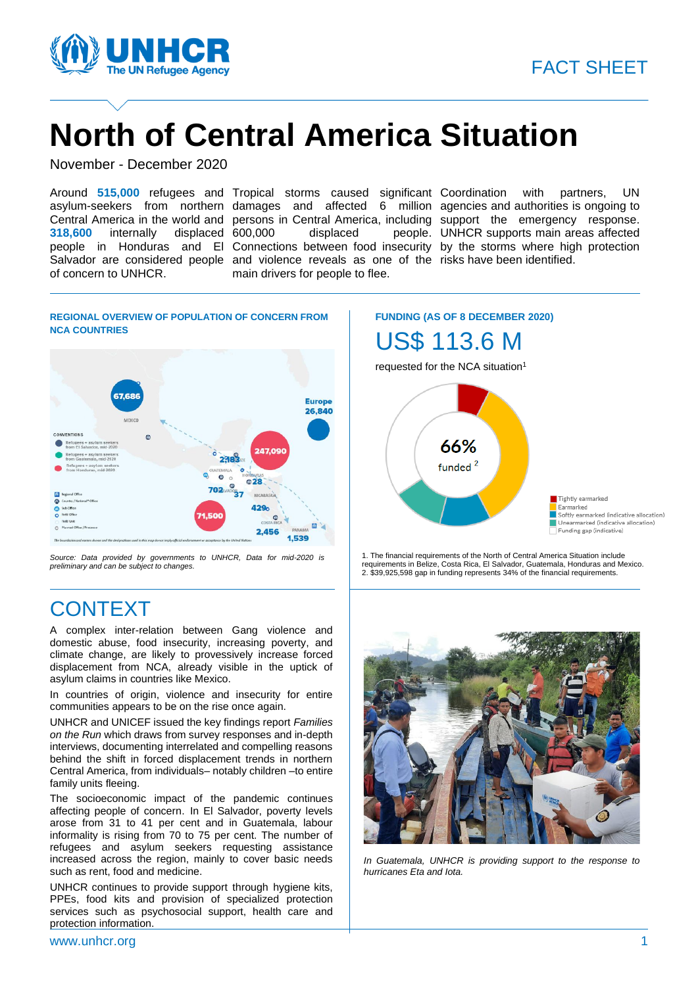

# **North of Central America Situation**

November - December 2020

**318,600** internally displaced of concern to UNHCR.

Salvador are considered people and violence reveals as one of the risks have been identified. displaced main drivers for people to flee.

Around 515,000 refugees and Tropical storms caused significant Coordination with partners, UN asylum-seekers from northern damages and affected 6 million agencies and authorities is ongoing to Central America in the world and persons in Central America, including support the emergency response. people in Honduras and El Connections between food insecurity by the storms where high protection UNHCR supports main areas affected

#### **REGIONAL OVERVIEW OF POPULATION OF CONCERN FROM NCA COUNTRIES**



*Source: Data provided by governments to UNHCR, Data for mid-2020 is preliminary and can be subject to changes.*

# **CONTEXT**

A complex inter-relation between Gang violence and domestic abuse, food insecurity, increasing poverty, and climate change, are likely to provessively increase forced displacement from NCA, already visible in the uptick of asylum claims in countries like Mexico.

In countries of origin, violence and insecurity for entire communities appears to be on the rise once again.

UNHCR and UNICEF issued the key findings report *Families on the Run* which draws from survey responses and in-depth interviews, documenting interrelated and compelling reasons behind the shift in forced displacement trends in northern Central America, from individuals– notably children –to entire family units fleeing.

The socioeconomic impact of the pandemic continues affecting people of concern. In El Salvador, poverty levels arose from 31 to 41 per cent and in Guatemala, labour informality is rising from 70 to 75 per cent. The number of refugees and asylum seekers requesting assistance increased across the region, mainly to cover basic needs such as rent, food and medicine.

UNHCR continues to provide support through hygiene kits, PPEs, food kits and provision of specialized protection services such as psychosocial support, health care and protection information.

**FUNDING (AS OF 8 DECEMBER 2020)**

US\$ 113.6 M

requested for the NCA situation<sup>1</sup>



1. The financial requirements of the North of Central America Situation include requirements in Belize, Costa Rica, El Salvador, Guatemala, Honduras and Mexico. 2. \$39,925,598 gap in funding represents 34% of the financial requirements.



*In Guatemala, UNHCR is providing support to the response to hurricanes Eta and Iota.*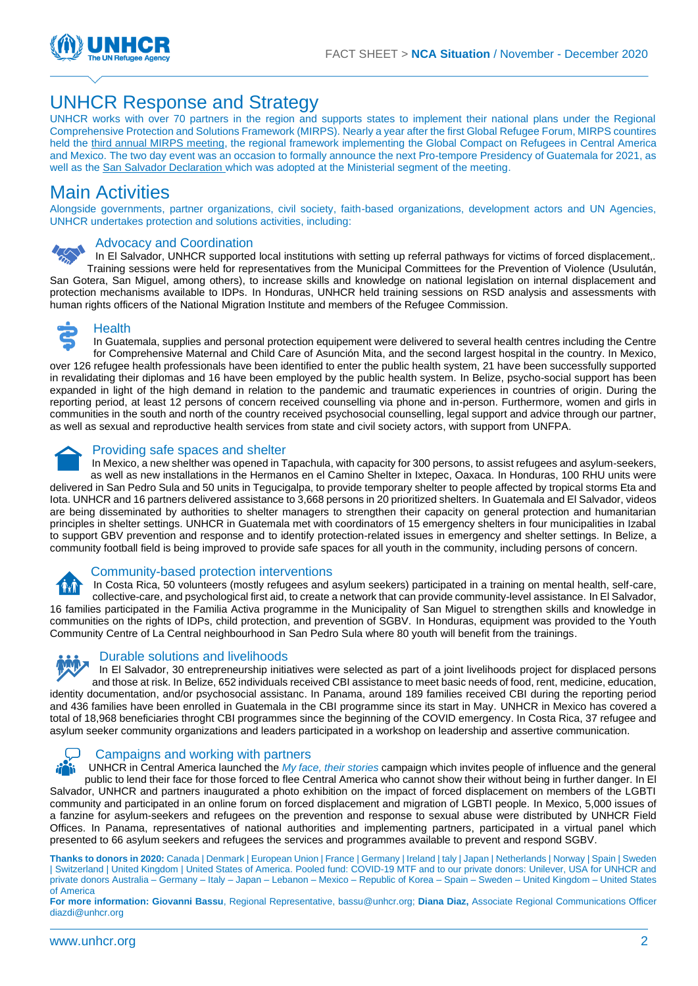

## UNHCR Response and Strategy

UNHCR works with over 70 partners in the region and supports states to implement their national plans under the Regional Comprehensive Protection and Solutions Framework (MIRPS). Nearly a year after the first Global Refugee Forum, MIRPS countires held [the third annual MIRPS meeting,](https://www.unhcr.org/news/press/2020/12/5fcf6fbe4/central-america-mexico-reaffirm-commitment-address-needs-hundreds-thousands.html) the regional framework implementing the Global Compact on Refugees in Central America and Mexico. The two day event was an occasion to formally announce the next Pro-tempore Presidency of Guatemala for 2021, as well as th[e San Salvador Declaration](https://www.refworld.org.es/cgi-bin/texis/vtx/rwmain/opendocpdf.pdf?reldoc=y&docid=5fcf9c064) which was adopted at the Ministerial segment of the meeting.

### Main Activities

Alongside governments, partner organizations, civil society, faith-based organizations, development actors and UN Agencies, UNHCR undertakes protection and solutions activities, including:

#### Advocacy and Coordination

In El Salvador, UNHCR supported local institutions with setting up referral pathways for victims of forced displacement,. Training sessions were held for representatives from the Municipal Committees for the Prevention of Violence (Usulután, San Gotera, San Miguel, among others), to increase skills and knowledge on national legislation on internal displacement and protection mechanisms available to IDPs. In Honduras, UNHCR held training sessions on RSD analysis and assessments with human rights officers of the National Migration Institute and members of the Refugee Commission.



#### **Health**

In Guatemala, supplies and personal protection equipement were delivered to several health centres including the Centre for Comprehensive Maternal and Child Care of Asunción Mita, and the second largest hospital in the country. In Mexico, over 126 refugee health professionals have been identified to enter the public health system, 21 have been successfully supported in revalidating their diplomas and 16 have been employed by the public health system. In Belize, psycho-social support has been expanded in light of the high demand in relation to the pandemic and traumatic experiences in countries of origin. During the reporting period, at least 12 persons of concern received counselling via phone and in-person. Furthermore, women and girls in communities in the south and north of the country received psychosocial counselling, legal support and advice through our partner, as well as sexual and reproductive health services from state and civil society actors, with support from UNFPA.



#### Providing safe spaces and shelter

In Mexico, a new shelther was opened in Tapachula, with capacity for 300 persons, to assist refugees and asylum-seekers, as well as new installations in the Hermanos en el Camino Shelter in Ixtepec, Oaxaca. In Honduras, 100 RHU units were delivered in San Pedro Sula and 50 units in Tegucigalpa, to provide temporary shelter to people affected by tropical storms Eta and Iota. UNHCR and 16 partners delivered assistance to 3,668 persons in 20 prioritized shelters. In Guatemala and El Salvador, videos are being disseminated by authorities to shelter managers to strengthen their capacity on general protection and humanitarian principles in shelter settings. UNHCR in Guatemala met with coordinators of 15 emergency shelters in four municipalities in Izabal to support GBV prevention and response and to identify protection-related issues in emergency and shelter settings. In Belize, a community football field is being improved to provide safe spaces for all youth in the community, including persons of concern.



#### Community-based protection interventions

In Costa Rica, 50 volunteers (mostly refugees and asylum seekers) participated in a training on mental health, self-care, collective-care, and psychological first aid, to create a network that can provide community-level assistance. In El Salvador, 16 families participated in the Familia Activa programme in the Municipality of San Miguel to strengthen skills and knowledge in communities on the rights of IDPs, child protection, and prevention of SGBV. In Honduras, equipment was provided to the Youth Community Centre of La Central neighbourhood in San Pedro Sula where 80 youth will benefit from the trainings.



#### Durable solutions and livelihoods

In El Salvador, 30 entrepreneurship initiatives were selected as part of a joint livelihoods project for displaced persons and those at risk. In Belize, 652 individuals received CBI assistance to meet basic needs of food, rent, medicine, education, identity documentation, and/or psychosocial assistanc. In Panama, around 189 families received CBI during the reporting period and 436 families have been enrolled in Guatemala in the CBI programme since its start in May. UNHCR in Mexico has covered a total of 18,968 beneficiaries throght CBI programmes since the beginning of the COVID emergency. In Costa Rica, 37 refugee and asylum seeker community organizations and leaders participated in a workshop on leadership and assertive communication.



#### Campaigns and working with partners

UNHCR in Central America launched the *[My face, their stories](https://www.acnur.org/doy-la-cara.html)* campaign which invites people of influence and the general public to lend their face for those forced to flee Central America who cannot show their without being in further danger. In El Salvador, UNHCR and partners inaugurated a photo exhibition on the impact of forced displacement on members of the LGBTI community and participated in an online forum on forced displacement and migration of LGBTI people. In Mexico, 5,000 issues of a fanzine for asylum-seekers and refugees on the prevention and response to sexual abuse were distributed by UNHCR Field Offices. In Panama, representatives of national authorities and implementing partners, participated in a virtual panel which presented to 66 asylum seekers and refugees the services and programmes available to prevent and respond SGBV.

**Thanks to donors in 2020:** Canada | Denmark | European Union | France | Germany | Ireland | taly | Japan | Netherlands | Norway | Spain | Sweden | Switzerland | United Kingdom | United States of America. Pooled fund: COVID-19 MTF and to our private donors: Unilever, USA for UNHCR and private donors Australia – Germany – Italy – Japan – Lebanon – Mexico – Republic of Korea – Spain – Sweden – United Kingdom – United States of America

**For more information: Giovanni Bassu**, Regional Representative, bassu@unhcr.org; **Diana Diaz,** Associate Regional Communications Officer diazdi@unhcr.org